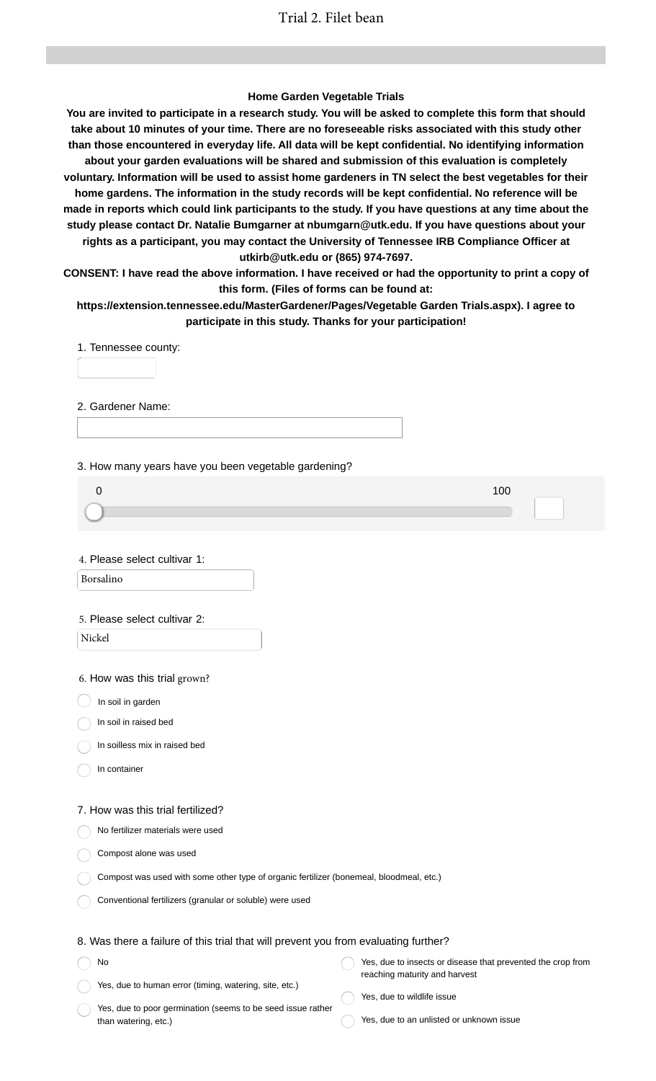### **Home Garden Vegetable Trials**

**You are invited to participate in a research study. You will be asked to complete this form that should take about 10 minutes of your time. There are no foreseeable risks associated with this study other than those encountered in everyday life. All data will be kept confidential. No identifying information about your garden evaluations will be shared and submission of this evaluation is completely voluntary. Information will be used to assist home gardeners in TN select the best vegetables for their home gardens. The information in the study records will be kept confidential. No reference will be made in reports which could link participants to the study. If you have questions at any time about the study please contact Dr. Natalie Bumgarner at nbumgarn@utk.edu. If you have questions about your rights as a participant, you may contact the University of Tennessee IRB Compliance Officer at utkirb@utk.edu or (865) 974-7697.**

**CONSENT: I have read the above information. I have received or had the opportunity to print a copy of this form. (Files of forms can be found at:**

**https://extension.tennessee.edu/MasterGardener/Pages/Vegetable Garden Trials.aspx). I agree to participate in this study. Thanks for your participation!**

1. Tennessee county:

2. Gardener Name:

3. How many years have you been vegetable gardening?

| 00، |  |  |
|-----|--|--|
|     |  |  |
|     |  |  |

4. Please select cultivar 1:

Borsalino

#### 5. Please select cultivar 2:

Nickel

6. How was this trial grown?

 $\big)$  In soil in garden

In soil in raised bed

In soilless mix in raised bed

In container

No

#### 7. How was this trial fertilized?

No fertilizer materials were used

Compost alone was used

| Compost was used with some other type of organic fertilizer (bonemeal, bloodmeal, etc.) |  |  |
|-----------------------------------------------------------------------------------------|--|--|
|-----------------------------------------------------------------------------------------|--|--|

Conventional fertilizers (granular or soluble) were used

#### 8. Was there a failure of this trial that will prevent you from evaluating further?

| No                                                     | Yes, due to insects or disease that prevented the crop from |
|--------------------------------------------------------|-------------------------------------------------------------|
|                                                        | reaching maturity and harvest                               |
| Yes, due to human error (timing, watering, site, etc.) |                                                             |

Yes, due to poor germination (seems to be seed issue rather than watering, etc.)

Yes, due to wildlife issue

Yes, due to an unlisted or unknown issue